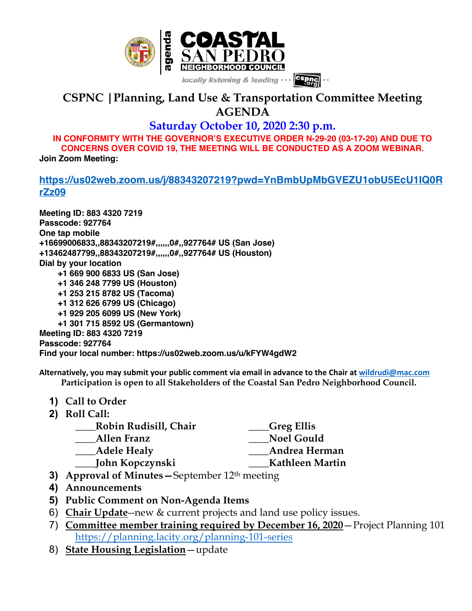

## **CSPNC |Planning, Land Use & Transportation Committee Meeting AGENDA**

**Saturday October 10, 2020 2:30 p.m.**

**IN CONFORMITY WITH THE GOVERNOR'S EXECUTIVE ORDER N-29-20 (03-17-20) AND DUE TO CONCERNS OVER COVID 19, THE MEETING WILL BE CONDUCTED AS A ZOOM WEBINAR. Join Zoom Meeting:**

## **https://us02web.zoom.us/j/88343207219?pwd=YnBmbUpMbGVEZU1obU5EcU1IQ0R rZz09**

**Meeting ID: 883 4320 7219 Passcode: 927764 One tap mobile +16699006833,,88343207219#,,,,,,0#,,927764# US (San Jose) +13462487799,,88343207219#,,,,,,0#,,927764# US (Houston) Dial by your location +1 669 900 6833 US (San Jose) +1 346 248 7799 US (Houston) +1 253 215 8782 US (Tacoma) +1 312 626 6799 US (Chicago) +1 929 205 6099 US (New York) +1 301 715 8592 US (Germantown) Meeting ID: 883 4320 7219 Passcode: 927764 Find your local number: https://us02web.zoom.us/u/kFYW4gdW2**

**Alternatively, you may submit your public comment via email in advance to the Chair at wildrudi@mac.com Participation is open to all Stakeholders of the Coastal San Pedro Neighborhood Council.**

**1) Call to Order 2) Roll Call:**

| Robin Rudisill, Chair | Greg Ellis_       |
|-----------------------|-------------------|
| Allen Franz           | <b>Noel Gould</b> |
| <b>Adele Healy</b>    | Andrea Herman     |
| John Kopczynski       | Kathleen Martin   |
|                       |                   |

- **3) Approval of Minutes—**September 12th meeting
- **4) Announcements**
- **5) Public Comment on Non-Agenda Items**
- 6) **Chair Update**--new & current projects and land use policy issues.
- 7) **Committee member training required by December 16, 2020**—Project Planning 101 https://planning.lacity.org/planning-101-series
- 8) **State Housing Legislation**—update